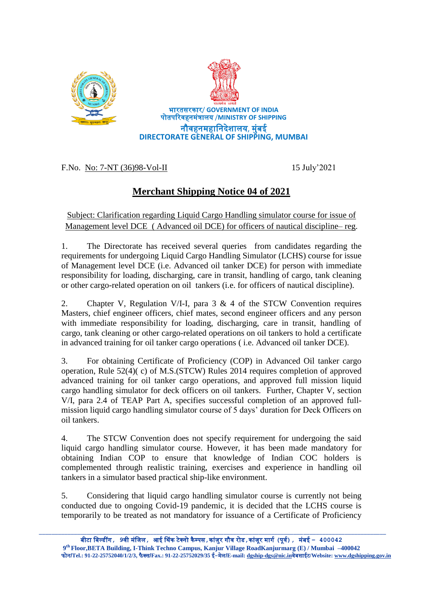



F.No. No: 7-NT (36)98-Vol-II 15 July'2021

## **Merchant Shipping Notice 04 of 2021**

Subject: Clarification regarding Liquid Cargo Handling simulator course for issue of Management level DCE ( Advanced oil DCE) for officers of nautical discipline– reg.

1. The Directorate has received several queries from candidates regarding the requirements for undergoing Liquid Cargo Handling Simulator (LCHS) course for issue of Management level DCE (i.e. Advanced oil tanker DCE) for person with immediate responsibility for loading, discharging, care in transit, handling of cargo, tank cleaning or other cargo-related operation on oil tankers (i.e. for officers of nautical discipline).

2. Chapter V, Regulation V/I-I, para  $3 \& 4$  of the STCW Convention requires Masters, chief engineer officers, chief mates, second engineer officers and any person with immediate responsibility for loading, discharging, care in transit, handling of cargo, tank cleaning or other cargo-related operations on oil tankers to hold a certificate in advanced training for oil tanker cargo operations ( i.e. Advanced oil tanker DCE).

3. For obtaining Certificate of Proficiency (COP) in Advanced Oil tanker cargo operation, Rule 52(4)( c) of M.S.(STCW) Rules 2014 requires completion of approved advanced training for oil tanker cargo operations, and approved full mission liquid cargo handling simulator for deck officers on oil tankers. Further, Chapter V, section V/I, para 2.4 of TEAP Part A, specifies successful completion of an approved fullmission liquid cargo handling simulator course of 5 days' duration for Deck Officers on oil tankers.

4. The STCW Convention does not specify requirement for undergoing the said liquid cargo handling simulator course. However, it has been made mandatory for obtaining Indian COP to ensure that knowledge of Indian COC holders is complemented through realistic training, exercises and experience in handling oil tankers in a simulator based practical ship-like environment.

5. Considering that liquid cargo handling simulator course is currently not being conducted due to ongoing Covid-19 pandemic, it is decided that the LCHS course is temporarily to be treated as not mandatory for issuance of a Certificate of Proficiency

\_\_\_\_\_\_\_\_\_\_\_\_\_\_\_\_\_\_\_\_\_\_\_\_\_\_\_\_\_\_\_\_\_\_\_\_\_\_\_\_\_\_\_\_\_\_\_\_\_\_\_\_\_\_\_\_\_\_\_\_\_\_\_\_\_\_\_\_\_\_\_\_\_\_\_\_\_\_\_\_\_\_\_\_\_\_\_\_\_\_\_\_\_\_\_\_\_\_\_\_\_\_\_\_\_\_\_\_\_